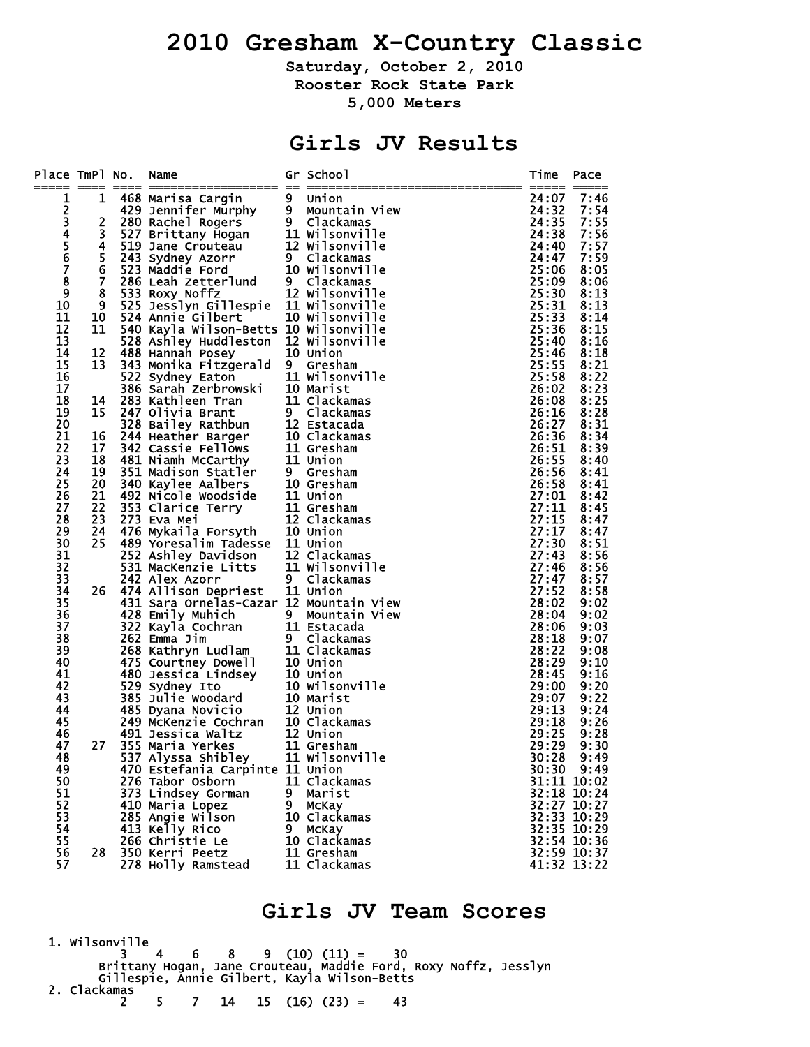# **2010 Gresham X-Country Classic**

**Saturday, October 2, 2010 Rooster Rock State Park 5,000 Meters** 

## **Girls JV Results**

| Place TmPl No.  |                  | Name                                                                                                                                                                                                                                                                  |   | Gr School                    | Time                 | Pace                       |
|-----------------|------------------|-----------------------------------------------------------------------------------------------------------------------------------------------------------------------------------------------------------------------------------------------------------------------|---|------------------------------|----------------------|----------------------------|
| ----- ----<br>1 | 1                |                                                                                                                                                                                                                                                                       |   |                              | ----- -----<br>24:07 | 7:46                       |
|                 |                  |                                                                                                                                                                                                                                                                       |   |                              | 24:32                | 7:54                       |
|                 | $\overline{2}$   |                                                                                                                                                                                                                                                                       |   |                              | 24:35                | 7:55                       |
| 23456           | 3                |                                                                                                                                                                                                                                                                       |   |                              | 24:38                | 7:56                       |
|                 | 4                |                                                                                                                                                                                                                                                                       |   |                              | 24:40                | 7:57                       |
|                 | 5                |                                                                                                                                                                                                                                                                       |   |                              | 24:47                | 7:59                       |
| $\overline{7}$  | 6                |                                                                                                                                                                                                                                                                       |   |                              | 25:06                | 8:05                       |
| $\bar{8}$       | $\overline{7}$   |                                                                                                                                                                                                                                                                       |   |                              | 25:09                | 8:06                       |
| 9               | 8                | 533 Roxy Noffz                                                                                                                                                                                                                                                        |   | 12 Wilsonville               | 25:30                | 8:13                       |
| 10              | $\boldsymbol{9}$ | 525 Jesslyn Gillespie 11 Wilsonville                                                                                                                                                                                                                                  |   |                              | 25:31                | 8:13                       |
| 11<br>12        | 10               | 524 Annie Gilbert                                                                                                                                                                                                                                                     |   | 10 Wilsonville               | 25:33<br>25:36       | 8:14<br>8:15               |
| 13              | 11               | 540 Kayla Wilson-Betts 10 Wilsonville<br>528 Ashley Huddleston 12 Wilsonville                                                                                                                                                                                         |   |                              | 25:40                | 8:16                       |
| 14              | 12               | 488 Hannah Posey                                                                                                                                                                                                                                                      |   | 10 Union                     | 25:46                | 8:18                       |
| 15              | 13               | 343 Monika Fitzgerald 9 Gresham                                                                                                                                                                                                                                       |   |                              | 25:55                | 8:21                       |
| 16              |                  | 522 Sydney Eaton<br>386 Sarah Zerbrowski 10 Marist<br>283 Kathlee Taylowski 10 Marist                                                                                                                                                                                 |   |                              | 25:58                | 8:22                       |
| 17              |                  |                                                                                                                                                                                                                                                                       |   |                              | 26:02                | 8:23                       |
| 18              | 14               |                                                                                                                                                                                                                                                                       |   | 11 Clackamas                 | 26:08                | 8:25                       |
| 19              | 15               |                                                                                                                                                                                                                                                                       |   | 9 Clackamas                  | 26:16                | 8:28                       |
| 20              |                  |                                                                                                                                                                                                                                                                       |   |                              | 26:27                | 8:31                       |
| 21              | 16               |                                                                                                                                                                                                                                                                       |   | 10 Clackamas                 | 26:36                | 8:34                       |
| 22              | 17               |                                                                                                                                                                                                                                                                       |   |                              | 26:51                | 8:39                       |
| 23              | 18               |                                                                                                                                                                                                                                                                       |   |                              | 26:55                | 8:40                       |
| 24              | 19               |                                                                                                                                                                                                                                                                       |   |                              | 26:56                | 8:41                       |
| 25              | 20               |                                                                                                                                                                                                                                                                       |   |                              | 26:58                | 8:41                       |
| 26              | 21               |                                                                                                                                                                                                                                                                       |   |                              | 27:01<br>27:11       | 8:42                       |
| 27<br>28        | 22<br>23         | 28 Kathleen Trans<br>247 Olivia Brant<br>247 Olivia Brant<br>328 Bailey Rathbun<br>328 Bailey Rathbun<br>328 Bailey Rathbun<br>328 Bailey Rathbun<br>324 Heather Barger<br>342 Cassie Fellows<br>31 Gresham<br>481 Niamh McCarthy<br>31 Union<br>351 M<br>273 Eva Mei |   | 12 Clackamas                 | 27:15                | 8:45<br>8:47               |
| 29              | 24               |                                                                                                                                                                                                                                                                       |   |                              | 27:17                | 8:47                       |
| 30              | 25               | 476 Mykaila Forsyth<br>489 Yoresalim Tadesse 11 Union                                                                                                                                                                                                                 |   |                              | 27:30                | 8:51                       |
| 31              |                  | 252 Ashley Davidson<br>531 MacKenzie Litts 11 Wilsonville<br>242 Alex Azorr 9 Clackamas                                                                                                                                                                               |   |                              | 27:43                | 8:56                       |
| 32              |                  |                                                                                                                                                                                                                                                                       |   |                              | 27:46                | 8:56                       |
| 33              |                  | 242 Alex Azorr                                                                                                                                                                                                                                                        |   | 9 Clackamas                  | 27:47                | 8:57                       |
| 34              | 26               | 474 Allison Depriest                                                                                                                                                                                                                                                  |   | 11 Union                     | 27:52                | 8:58                       |
| 35              |                  | 431 Sara Ornelas-Cazar 12 Mountain View                                                                                                                                                                                                                               |   |                              | 28:02                | 9:02                       |
| 36              |                  | 428 Emily Muhich             9   Mountain<br>322 Kayla Cochran           11 Estacada<br>262 Emma Jim               9   Clackama:                                                                                                                                      |   | Mountain View                | 28:04                | 9:02                       |
| 37              |                  |                                                                                                                                                                                                                                                                       |   |                              | 28:06                | 9:03                       |
| 38              |                  | 262 Emma Jim                                                                                                                                                                                                                                                          |   | 9 Clackamas                  | 28:18                | 9:07                       |
| 39<br>40        |                  |                                                                                                                                                                                                                                                                       |   |                              | 28:22<br>28:29       | 9:08<br>9:10               |
| 41              |                  | 262 Emma J1m<br>268 Kathryn Ludlam 11 Clackamas<br>475 Courtney Dowell 10 Union<br>480 Jessica Lindsey 10 Union<br>529 Sydney Ito 10 Wilsonvil<br>385 Julie Woodard 10 Marist<br>485 Dyana Novicio 12 Union<br>249 McKenzie Cochran 10 Clack                          |   |                              | 28:45                | 9:16                       |
| 42              |                  |                                                                                                                                                                                                                                                                       |   | <b>10 Wilsonville</b>        | 29:00                | 9:20                       |
| 43              |                  |                                                                                                                                                                                                                                                                       |   |                              | 29:07                | 9:22                       |
| 44              |                  |                                                                                                                                                                                                                                                                       |   |                              | 29:13                | 9:24                       |
| 45              |                  |                                                                                                                                                                                                                                                                       |   |                              | 29:18                | 9:26                       |
| 46              |                  | 491 Jessica Waltz                                                                                                                                                                                                                                                     |   | 12 Union                     | 29:25                | 9:28                       |
| 47              | 27               | 355 Maria Yerkes                                                                                                                                                                                                                                                      |   | 11 Gresham                   | 29:29                | 9:30                       |
| 48              |                  | 537 Alyssa Shibley                                                                                                                                                                                                                                                    |   | 11 Wilsonville               | 30:28                | 9:49                       |
| 49              |                  | 470 Estefania Carpinte 11 Union                                                                                                                                                                                                                                       |   |                              |                      | 30:30 9:49                 |
| 50              |                  | 276 Tabor Osborn                                                                                                                                                                                                                                                      |   | 11 Clackamas                 |                      | 31:11 10:02                |
| 51              |                  | 373 Lindsey Gorman                                                                                                                                                                                                                                                    |   | 9 Marist                     |                      | $32:18$ $10:24$            |
| 52<br>53        |                  | 410 Maria Lopez                                                                                                                                                                                                                                                       | 9 | <b>MCKay</b>                 |                      | 32:27 10:27<br>32:33 10:29 |
| 54              |                  | 285 Angie Wilson<br>413 Kelly Rico                                                                                                                                                                                                                                    | 9 | 10 Clackamas<br><b>MCKay</b> |                      | 32:35 10:29                |
| 55              |                  | 266 Christie Le                                                                                                                                                                                                                                                       |   | 10 Clackamas                 |                      | 32:54 10:36                |
| 56              | 28               | 350 Kerri Peetz                                                                                                                                                                                                                                                       |   | 11 Gresham                   |                      | 32:59 10:37                |
| 57              |                  | 278 Holly Ramstead                                                                                                                                                                                                                                                    |   | 11 Clackamas                 |                      | 41:32 13:22                |
|                 |                  |                                                                                                                                                                                                                                                                       |   |                              |                      |                            |

#### **Girls JV Team Scores**

 1. Wilsonville 3 4 6 8 9 (10) (11) = 30 Brittany Hogan, Jane Crouteau, Maddie Ford, Roxy Noffz, Jesslyn Gillespie, Annie Gilbert, Kayla Wilson-Betts 2. Clackamas 2 5 7 14 15 (16) (23) = 43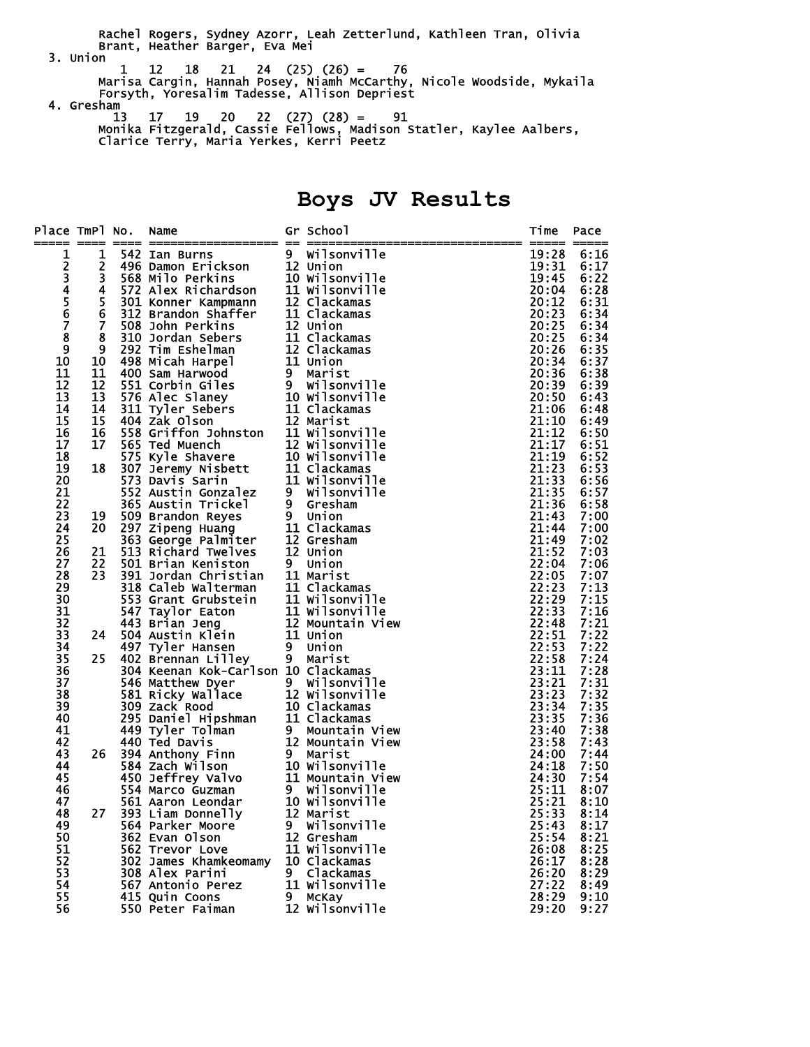Rachel Rogers, Sydney Azorr, Leah Zetterlund, Kathleen Tran, Olivia Brant, Heather Barger, Eva Mei 3. Union

- 1 12 18 21 24 (25) (26) = 76 Marisa Cargin, Hannah Posey, Niamh McCarthy, Nicole Woodside, Mykaila Forsyth, Yoresalim Tadesse, Allison Depriest
- 4. Gresham<sup>1</sup> 13 17 19 20 22 (27) (28) = 91 Monika Fitzgerald, Cassie Fellows, Madison Statler, Kaylee Aalbers, Clarice Terry, Maria Yerkes, Kerri Peetz

# **Boys JV Results**

| Place TmPl No.       |                 | Name<br>n Maxim Sammann (States of School)<br>The members of School (States of School)<br>1 1 542 Ian Burn's 12 Union II Wilsonville<br>1 542 Ian Burn's 12 Union II Wilsonville<br>1 568 Milo Perkins<br>10 Wilsonville<br>5 301 Nonner Kampmann    | Gr School | Time           | Pace         |
|----------------------|-----------------|------------------------------------------------------------------------------------------------------------------------------------------------------------------------------------------------------------------------------------------------------|-----------|----------------|--------------|
| 1                    |                 |                                                                                                                                                                                                                                                      |           | 19:28          | 6:16         |
|                      |                 |                                                                                                                                                                                                                                                      |           | 19:31          | 6:17         |
|                      |                 |                                                                                                                                                                                                                                                      |           | 19:45          | 6:22         |
| 2345678              |                 |                                                                                                                                                                                                                                                      |           | 20:04          | 6:28         |
|                      |                 |                                                                                                                                                                                                                                                      |           | 20:12          | 6:31         |
|                      |                 |                                                                                                                                                                                                                                                      |           | 20:23          | 6:34         |
|                      |                 |                                                                                                                                                                                                                                                      |           | 20:25          | 6:34         |
|                      |                 |                                                                                                                                                                                                                                                      |           | 20:25          | 6:34         |
| $\overline{9}$<br>10 |                 |                                                                                                                                                                                                                                                      |           | 20:26          | 6:35         |
|                      |                 |                                                                                                                                                                                                                                                      |           | 20:34          | 6:37         |
| 11<br>12             |                 |                                                                                                                                                                                                                                                      |           | 20:36<br>20:39 | 6:38         |
| 13                   |                 |                                                                                                                                                                                                                                                      |           | 20:50          | 6:39<br>6:43 |
| 14                   |                 |                                                                                                                                                                                                                                                      |           | 21:06          | 6:48         |
| 15                   |                 |                                                                                                                                                                                                                                                      |           | 21:10          | 6:49         |
| 16                   |                 |                                                                                                                                                                                                                                                      |           | 21:12          | 6:50         |
| 17                   |                 |                                                                                                                                                                                                                                                      |           | 21:17          | 6:51         |
| 18                   |                 |                                                                                                                                                                                                                                                      |           | 21:19          | 6:52         |
| 19                   |                 |                                                                                                                                                                                                                                                      |           | 21:23          | 6:53         |
| 20                   |                 |                                                                                                                                                                                                                                                      |           | 21:33          | 6:56         |
| 21                   |                 |                                                                                                                                                                                                                                                      |           | 21:35          | 6:57         |
| 22                   |                 |                                                                                                                                                                                                                                                      |           | 21:36          | 6:58         |
| 23                   |                 |                                                                                                                                                                                                                                                      |           | 21:43          | 7:00         |
| 24                   |                 |                                                                                                                                                                                                                                                      |           | 21:44          | 7:00         |
| 25                   |                 |                                                                                                                                                                                                                                                      |           | 21:49          | 7:02         |
| 26                   |                 |                                                                                                                                                                                                                                                      |           | 21:52          | 7:03         |
| 27                   |                 |                                                                                                                                                                                                                                                      |           | 22:04          | 7:06         |
| 28                   |                 |                                                                                                                                                                                                                                                      |           | 22:05          | 7:07         |
| 29                   |                 |                                                                                                                                                                                                                                                      |           | 22:23          | 7:13         |
| 30                   |                 |                                                                                                                                                                                                                                                      |           | 22:29          | 7:15         |
| 31                   |                 |                                                                                                                                                                                                                                                      |           | 22:33          | 7:16         |
| 32<br>33             |                 |                                                                                                                                                                                                                                                      |           | 22:48          | 7:21         |
|                      |                 |                                                                                                                                                                                                                                                      |           | 22:51          | 7:22         |
| 34                   |                 |                                                                                                                                                                                                                                                      |           | 22:53          | 7:22         |
| 35                   |                 |                                                                                                                                                                                                                                                      |           | 22:58          | 7:24         |
| 36                   |                 |                                                                                                                                                                                                                                                      |           | 23:11          | 7:28         |
| $\overline{37}$      |                 |                                                                                                                                                                                                                                                      |           | 23:21<br>23:23 | 7:31         |
| 38                   |                 |                                                                                                                                                                                                                                                      |           |                | 7:32         |
| 39<br>40             |                 |                                                                                                                                                                                                                                                      |           | 23:34<br>23:35 | 7:35<br>7:36 |
| 41                   |                 |                                                                                                                                                                                                                                                      |           | 23:40          | 7:38         |
| 42                   |                 |                                                                                                                                                                                                                                                      |           | 23:58          | 7:43         |
| 43                   | 26              |                                                                                                                                                                                                                                                      |           | 24:00          | 7:44         |
| 44                   |                 |                                                                                                                                                                                                                                                      |           | 24:18          | 7:50         |
| 45                   |                 |                                                                                                                                                                                                                                                      |           | 24:30          | 7:54         |
| 46                   |                 |                                                                                                                                                                                                                                                      |           | 25:11          | 8:07         |
| 47                   |                 |                                                                                                                                                                                                                                                      |           | 25:21          | 8:10         |
| 48                   | 27 <sub>2</sub> |                                                                                                                                                                                                                                                      |           | 25:33          | 8:14         |
| 49                   |                 |                                                                                                                                                                                                                                                      |           | 25:43          | 8:17         |
| 50                   |                 |                                                                                                                                                                                                                                                      |           | 25:54          | 8:21         |
| 51                   |                 | 2020 Burnan Liviey<br>2021 Keenan Kok-Carlson 10 Clackamas<br>304 Keenan Kok-Carlson 10 Clackamas<br>203 Zack Rood<br>203 Zack Rood<br>203 Zack Rood<br>203 Zack Rood<br>203 Zack Rood<br>203 Zack Rood<br>203 Daniel Hipshman<br>440 Ted Davis<br>2 |           | 26:08          | 8:25         |
| $5\overline{2}$      |                 |                                                                                                                                                                                                                                                      |           | 26:17          | 8:28         |
| 53                   |                 |                                                                                                                                                                                                                                                      |           | 26:20          | 8:29         |
| 54                   |                 |                                                                                                                                                                                                                                                      |           | 27:22          | 8:49         |
| 55                   |                 |                                                                                                                                                                                                                                                      |           | 28:29          | 9:10         |
| 56                   |                 |                                                                                                                                                                                                                                                      |           | 29:20          | 9:27         |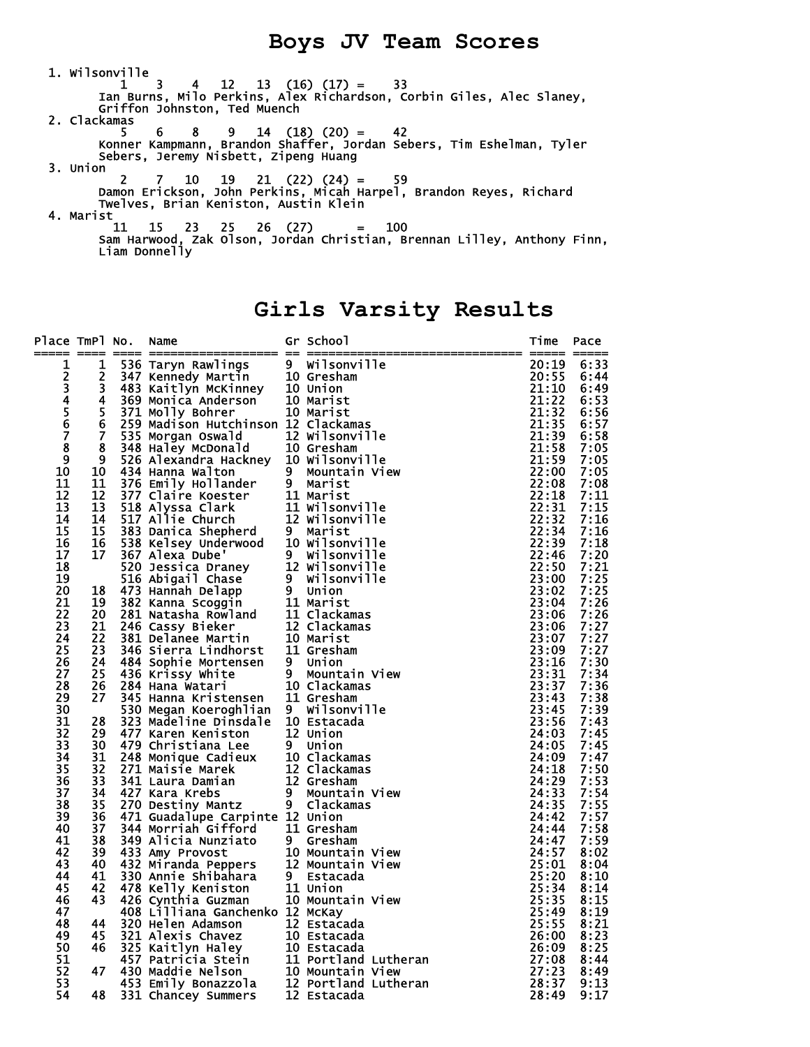#### **Boys JV Team Scores**

 1. Wilsonville 1 3 4 12 13 (16) (17) = 33 Ian Burns, Milo Perkins, Alex Richardson, Corbin Giles, Alec Slaney, Griffon Johnston, Ted Muench 2. Clackamas  $5 \t 6 \t 8 \t 9 \t 14 \t (18) \t (20) = 42$  Konner Kampmann, Brandon Shaffer, Jordan Sebers, Tim Eshelman, Tyler Sebers, Jeremy Nisbett, Zipeng Huang 3. Union 2 7 10 19 21 (22) (24) = 59 Damon Erickson, John Perkins, Micah Harpel, Brandon Reyes, Richard Twelves, Brian Keniston, Austin Klein 4. Marist 11 15 23 25 26 (27) = 100 Sam Harwood, Zak Olson, Jordan Christian, Brennan Lilley, Anthony Finn, Liam Donnelly

# **Girls Varsity Results**

| Place TmPl No.                              |                         | Name<br>_____ ___________________ __ __                                                                                                                                                           |                     | Gr School                    | Time           | Pace         |
|---------------------------------------------|-------------------------|---------------------------------------------------------------------------------------------------------------------------------------------------------------------------------------------------|---------------------|------------------------------|----------------|--------------|
| 1                                           | 1                       | 536 Taryn Rawlings                                                                                                                                                                                |                     | 9 Wilsonville                | 20:19          | 6:33         |
|                                             | $\overline{\mathbf{c}}$ |                                                                                                                                                                                                   |                     | 10 Gresham                   | 20:55          | 6:44         |
|                                             | 3                       |                                                                                                                                                                                                   |                     | 10 Union                     | 21:10          | 6:49         |
| 234567                                      | 4                       | <b>Example 18 AMBLE 1898</b><br>483 Kaitlyn McKinney<br>369 Monica Anderson<br>371 Molly Bohrer<br>259 Madison Hutch                                                                              |                     | 10 Marist                    | 21:22          | 6:53         |
|                                             | 5                       |                                                                                                                                                                                                   |                     | 10 Marist                    | 21:32          | 6:56         |
|                                             | $\bf 6$                 | 259 Madison Hutchinson 12 Clackamas                                                                                                                                                               |                     |                              | 21:35          | 6:57         |
|                                             | $\overline{7}$          | 535 Morgan Oswald                                                                                                                                                                                 |                     | 12 Wilsonville               | 21:39          | 6:58         |
|                                             | 8                       | 348 Haley McDonald                                                                                                                                                                                |                     | 10 Gresham                   | 21:58          | 7:05         |
| $\begin{array}{c} 8 \\ 9 \\ 10 \end{array}$ | 9                       | 526 Alexandra Hackney                                                                                                                                                                             |                     | 10 Wilsonville               | 21:59          | 7:05         |
| 11                                          | 10                      | 434 Hanna Walton                                                                                                                                                                                  | 9<br>$\overline{9}$ | Mountain View                | 22:00<br>22:08 | 7:05         |
| 12                                          | 11<br>12                | 376 Emily Hollander<br>377 Claire Koester                                                                                                                                                         |                     | Marist<br>11 Marist          | 22:18          | 7:08<br>7:11 |
| 13                                          | 13                      | 518 Alyssa Clark                                                                                                                                                                                  |                     | 11 Wilsonville               | 22:31          | 7:15         |
| 14                                          | 14                      | 517 Allie Church                                                                                                                                                                                  |                     | 12 Wilsonville               | 22:32          | 7:16         |
| 15                                          | 15                      | 383 Danica Shepherd                                                                                                                                                                               |                     | 9 Marist                     | 22:34          | 7:16         |
| 16                                          | 16                      | 538 Kelsey Underwood                                                                                                                                                                              |                     | 10 Wilsonville               | 22:39          | 7:18         |
| 17                                          | 17                      | 367 Alexa Dube'                                                                                                                                                                                   |                     | 9 Wilsonville                | 22:46          | 7:20         |
| 18                                          |                         | 520 Jessica Draney                                                                                                                                                                                |                     | 12 Wilsonville               | 22:50          | 7:21         |
| $\overline{19}$                             |                         | 516 Abigail Chase                                                                                                                                                                                 | 9                   | Wilsonville                  | 23:00          | 7:25         |
| 20                                          | 18                      | 473 Hannah Delapp                                                                                                                                                                                 |                     | 9 Union                      | 23:02          | 7:25         |
| 21                                          | 19                      | 382 Kanna Scoggin                                                                                                                                                                                 |                     | 11 Marist                    | 23:04          | 7:26         |
| 22                                          | 20                      | 281 Natasha Rowland<br>246 Cassy Bieker<br>381 Delanee Martin<br>386 Siemae Martin                                                                                                                |                     | 11 Clackamas                 | 23:06          | 7:26         |
| 23                                          | 21                      |                                                                                                                                                                                                   |                     | 12 Clackamas                 | 23:06          | 7:27         |
| 24                                          | $\overline{22}$         |                                                                                                                                                                                                   |                     | 10 Marist                    | 23:07          | 7:27         |
| 25                                          | 23                      | 346 Sierra Lindhorst                                                                                                                                                                              |                     | 11 Gresham                   | 23:09          | 7:27         |
| 26                                          | 24                      | 484 Sophie Mortensen                                                                                                                                                                              |                     | 9 Union                      | 23:16          | 7:30         |
| 27                                          | 25                      | 436 Krissy White                                                                                                                                                                                  | $\overline{9}$      | Mountain View                | 23:31          | 7:34         |
| 28                                          | 26                      | 284 Hana Watari                                                                                                                                                                                   |                     | 10 Clackamas                 | 23:37          | 7:36         |
| 29<br>30                                    | 27                      | 345 Hanna Kristensen                                                                                                                                                                              |                     | 11 Gresham                   | 23:43          | 7:38<br>7:39 |
| 31                                          | 28                      | 530 Megan Koeroghlian<br>323 Madeline Dinsdale                                                                                                                                                    |                     | 9 Wilsonville<br>10 Estacada | 23:45<br>23:56 | 7:43         |
| 32                                          | 29                      | 477 Karen Keniston                                                                                                                                                                                |                     | 12 Union                     | 24:03          | 7:45         |
| 33                                          | 30                      | 479 Christiana Lee                                                                                                                                                                                |                     | 9 Union                      | 24:05          | 7:45         |
| 34                                          | 31                      |                                                                                                                                                                                                   |                     | 10 Clackamas                 | 24:09          | 7:47         |
| 35                                          | 32                      |                                                                                                                                                                                                   |                     | 12 Clackamas                 | 24:18          | 7:50         |
| 36                                          | 33                      |                                                                                                                                                                                                   |                     | 12 Gresham                   | 24:29          | 7:53         |
| 37                                          | 34                      |                                                                                                                                                                                                   | 9                   | Mountain View                | 24:33          | 7:54         |
| 38                                          | 35                      |                                                                                                                                                                                                   | $\overline{9}$      | Clackamas                    | 24:35          | 7:55         |
| 39                                          | 36                      | <b>773 Curistiana Lee<br/>248 Monique Cadieux<br/>271 Maisie Marek<br/>341 Laura Damian<br/>427 Kara Krebs<br/>270 Destiny Mantz<br/>471 Guadalune Corring</b><br>471 Guadalupe Carpinte 12 Union |                     |                              | 24:42          | 7:57         |
| 40                                          | 37                      | 344 Morriah Gifford                                                                                                                                                                               |                     | 11 Gresham                   | 24:44          | 7:58         |
| 41                                          | 38                      |                                                                                                                                                                                                   |                     | 9 Gresham                    | 24:47          | 7:59         |
| 42                                          | 39                      |                                                                                                                                                                                                   |                     | 10 Mountain View             | 24:57          | 8:02         |
| 43                                          | 40                      |                                                                                                                                                                                                   |                     | 12 Mountain View             | 25:01          | 8:04         |
| 44                                          | 41                      |                                                                                                                                                                                                   |                     | 9 Estacada                   | 25:20          | 8:10         |
| 45                                          | 42                      |                                                                                                                                                                                                   |                     | 11 Union                     | 25:34          | 8:14         |
| 46                                          | 43                      |                                                                                                                                                                                                   |                     | 10 Mountain View             | 25:35          | 8:15         |
| 47                                          |                         | - a Nunziato<br>432 Miranda Peppers<br>330 Annie Shibahara<br>478 Kelly Keniston<br>426 Cynthia Guzman<br>408 Lilliana Ganchara<br>320 Heler<br>408 Lilliana Ganchenko 12 McKay                   |                     |                              | 25:49          | 8:19         |
| 48                                          | 44                      |                                                                                                                                                                                                   |                     | 12 Estacada<br>10 Estacada   | 25:55          | 8:21         |
| 49<br>50                                    | 45<br>46                |                                                                                                                                                                                                   |                     | 10 Estacada                  | 26:00<br>26:09 | 8:23<br>8:25 |
| 51                                          |                         |                                                                                                                                                                                                   |                     | 11 Portland Lutheran         | 27:08          | 8:44         |
| 52                                          | 47                      |                                                                                                                                                                                                   |                     | 10 Mountain View             | 27:23          | 8:49         |
| 53                                          |                         |                                                                                                                                                                                                   |                     | 12 Portland Lutheran         | 28:37          | 9:13         |
| 54                                          | 48                      | <b>S21 Alexis Adamson<br/>321 Alexis Chavez<br/>325 Kaitlyn Haley<br/>457 Patricia Stein<br/>430 Maddie Nelson<br/>453 Emily Bonazzola<br/>331 Chancey Summers</b><br>331 Chancey Summers         |                     | 12 Estacada                  | 28:49          | 9:17         |
|                                             |                         |                                                                                                                                                                                                   |                     |                              |                |              |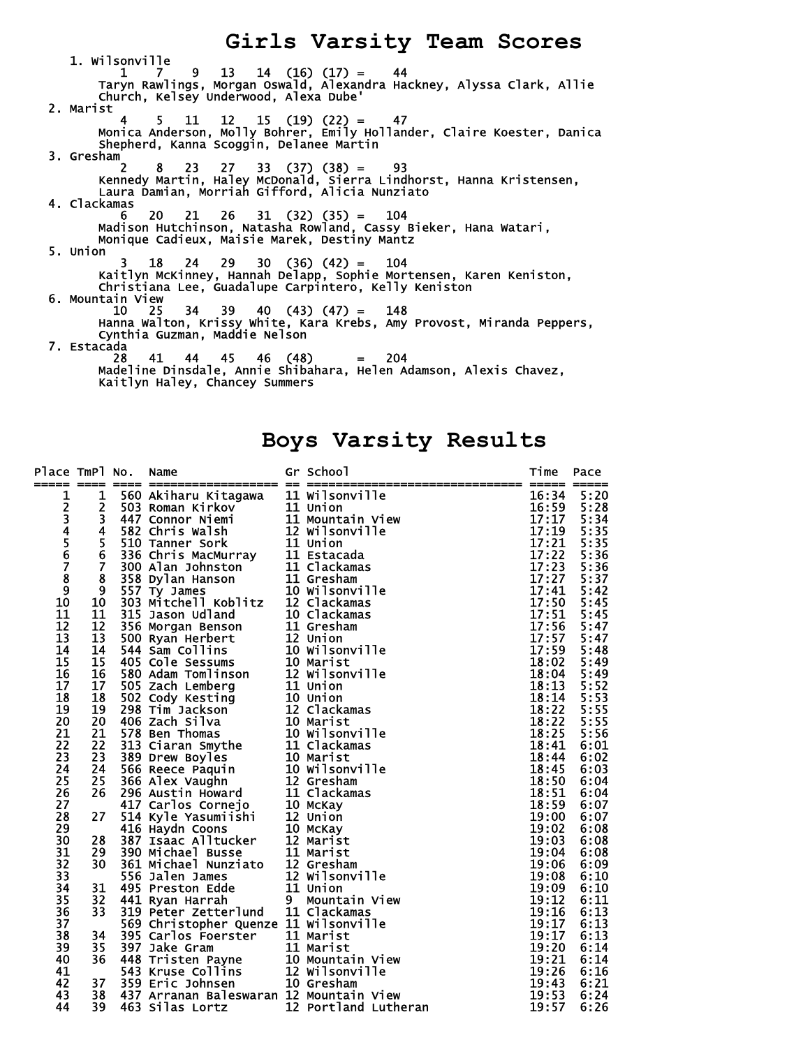**Girls Varsity Team Scores**  1. Wilsonville 1 7 9 13 14 (16) (17) = 44 Taryn Rawlings, Morgan Oswald, Alexandra Hackney, Alyssa Clark, Allie Church, Kelsey Underwood, Alexa Dube' 2. Marist 4 5 11 12 15 (19) (22) = 47 Monica Anderson, Molly Bohrer, Emily Hollander, Claire Koester, Danica Shepherd, Kanna Scoggin, Delanee Martin 3. Gresham 2 8 23 27 33 (37) (38) = 93 Kennedy Martin, Haley McDonald, Sierra Lindhorst, Hanna Kristensen, Laura Damian, Morriah Gifford, Alicia Nunziato 4. Clackamas 6 20 21 26 31 (32) (35) = 104 Madison Hutchinson, Natasha Rowland, Cassy Bieker, Hana Watari, Monique Cadieux, Maisie Marek, Destiny Mantz 5. Union 3 18 24 29 30 (36) (42) = 104 Kaitlyn McKinney, Hannah Delapp, Sophie Mortensen, Karen Keniston, Christiana Lee, Guadalupe Carpintero, Kelly Keniston 6. Mountain View 10 25 34 39 40 (43) (47) = 148 Hanna Walton, Krissy White, Kara Krebs, Amy Provost, Miranda Peppers, Cynthia Guzman, Maddie Nelson 7. Estacada 28 41 44 45 46 (48) = 204 Madeline Dinsdale, Annie Shibahara, Helen Adamson, Alexis Chavez, Kaitlyn Haley, Chancey Summers

### **Boys Varsity Results**

| Place TmPl No.  |                         | Name                                                                                                                                                                                                                                                   | Gr School<br>== ============== | Time                  | Pace |
|-----------------|-------------------------|--------------------------------------------------------------------------------------------------------------------------------------------------------------------------------------------------------------------------------------------------------|--------------------------------|-----------------------|------|
|                 | 1                       | 560 Akiharu Kitagawa                                                                                                                                                                                                                                   | 11 Wilsonville                 | 16:34                 | 5:20 |
|                 | $\overline{\mathbf{c}}$ |                                                                                                                                                                                                                                                        |                                | 16:59                 | 5:28 |
|                 | 3                       |                                                                                                                                                                                                                                                        | 11 Mountain View               | 17:17                 | 5:34 |
|                 | 4                       |                                                                                                                                                                                                                                                        | 12 Wilsonville                 | 17:19                 | 5:35 |
|                 | 5                       |                                                                                                                                                                                                                                                        |                                |                       | 5:35 |
| 12345678        | $\overline{6}$          |                                                                                                                                                                                                                                                        |                                | $\frac{17:21}{17:22}$ | 5:36 |
|                 | $\overline{7}$          |                                                                                                                                                                                                                                                        | 11 Clackamas                   | 17:23                 | 5:36 |
|                 | 8                       |                                                                                                                                                                                                                                                        |                                | 17:27                 | 5:37 |
| $\frac{9}{10}$  | 9                       |                                                                                                                                                                                                                                                        | 10 Wilsonville                 | 17:41                 | 5:42 |
|                 | 10                      |                                                                                                                                                                                                                                                        | 12 Clackamas                   | 17:50                 | 5:45 |
| 11              | 11                      |                                                                                                                                                                                                                                                        | 10 Clackamas                   | 17:51                 | 5:45 |
| 12              | 12                      |                                                                                                                                                                                                                                                        |                                | 17:56                 | 5:47 |
| 13              | 13                      |                                                                                                                                                                                                                                                        |                                | 17:57                 | 5:47 |
| 14              | 14                      |                                                                                                                                                                                                                                                        | 10 Wilsonville                 | 17:59                 | 5:48 |
| 15              | 15                      |                                                                                                                                                                                                                                                        |                                | 18:02                 | 5:49 |
| 16              | 16                      |                                                                                                                                                                                                                                                        | 12 Wilsonville                 | 18:04                 | 5:49 |
| 17              | 17                      |                                                                                                                                                                                                                                                        |                                | 18:13                 | 5:52 |
| 18              | 18                      |                                                                                                                                                                                                                                                        |                                | 18:14                 | 5:53 |
| 19              | 19                      | 560 Akiharu Kitagawa 11 Wilsonvil<br>503 Roman Kirkov 11 Union<br>447 Connor Niemi 11 Mountain<br>582 Chris Walsh 12 Wilsonvil<br>510 Tanner Sork 11 Union<br>336 Chris MacMurray 11 Estacada<br>300 Alan Johnston 11 Clackamas<br>557 Ty Ja           | 12 Clackamas                   | 18:22                 | 5:55 |
| 20              | 20                      | 298 Tim Jackson<br>406 Zach Silva 10 Marist<br>578 Ben Thomas 10 Wilsonvil<br>313 Ciaran Smythe 11 Clackamas<br>389 Drew Boyles 11 Clackamas<br>566 Reece Paquin 10 Wilsonvil<br>366 Alex Vaughn 12 Gresham<br>296 Austin Howard 11 Clackamas<br>417 C |                                | 18:22                 | 5:55 |
| 21              | 21                      |                                                                                                                                                                                                                                                        | 10 Wilsonville                 | 18:25                 | 5:56 |
| 22              | 22                      |                                                                                                                                                                                                                                                        |                                | 18:41                 | 6:01 |
| 23              | 23                      |                                                                                                                                                                                                                                                        |                                | 18:44                 | 6:02 |
| 24              | 24                      |                                                                                                                                                                                                                                                        | 10 Wilsonville                 | 18:45                 | 6:03 |
| 25              | 25                      |                                                                                                                                                                                                                                                        |                                | 18:50                 | 6:04 |
| 26              | 26                      |                                                                                                                                                                                                                                                        |                                | 18:51                 | 6:04 |
| 27              |                         |                                                                                                                                                                                                                                                        |                                | 18:59                 | 6:07 |
| 28              | 27                      |                                                                                                                                                                                                                                                        |                                | 19:00                 | 6:07 |
| 29              |                         |                                                                                                                                                                                                                                                        |                                | 19:02                 | 6:08 |
| 30              | 28                      |                                                                                                                                                                                                                                                        |                                | 19:03                 | 6:08 |
| 31              | 29                      | 390 Michael Busse<br>361 Michael Nunziato 12 Gresham<br>556 Jalen James 12 Wilsonville<br>495 Preston Edde 11 Union<br>441 Ryan Harrah 194 Mountain Vie                                                                                                |                                | 19:04                 | 6:08 |
| 32              | 30                      |                                                                                                                                                                                                                                                        |                                | 19:06                 | 6:09 |
| $\overline{33}$ |                         |                                                                                                                                                                                                                                                        |                                | 19:08<br>19:09        | 6:10 |
| $\overline{34}$ | 31                      |                                                                                                                                                                                                                                                        |                                |                       | 6:10 |
| 35<br>36        | 32                      |                                                                                                                                                                                                                                                        | Mountain View                  | 19:12                 | 6:11 |
|                 | 33                      | 319 Peter Zetterlund                                                                                                                                                                                                                                   | 11 Clackamas                   | 19:16                 | 6:13 |
| 37              |                         | 569 Christopher Quenze 11 Wilsonville                                                                                                                                                                                                                  |                                | 19:17                 | 6:13 |
| 38              | 34                      |                                                                                                                                                                                                                                                        |                                | 19:17                 | 6:13 |
| 39              | 35                      |                                                                                                                                                                                                                                                        |                                | 19:20                 | 6:14 |
| 40              | 36                      | 395 Carlos Foerster<br>397 Jake Gram<br>397 Jake Gram<br>448 Tristen Payne<br>543 Kruse Collins<br>359 Eric Johnsen<br>10 Gresham<br>10 Gresham                                                                                                        |                                | 19:21                 | 6:14 |
| 41              |                         |                                                                                                                                                                                                                                                        |                                | 19:26                 | 6:16 |
| 42              | 37                      |                                                                                                                                                                                                                                                        |                                | 19:43                 | 6:21 |
| 43              | 38                      | 437 Arranan Baleswaran 12 Mountain View                                                                                                                                                                                                                |                                | 19:53                 | 6:24 |
| 44              | 39                      | 463 Silas Lortz                                                                                                                                                                                                                                        | 12 Portland Lutheran           | 19:57                 | 6:26 |